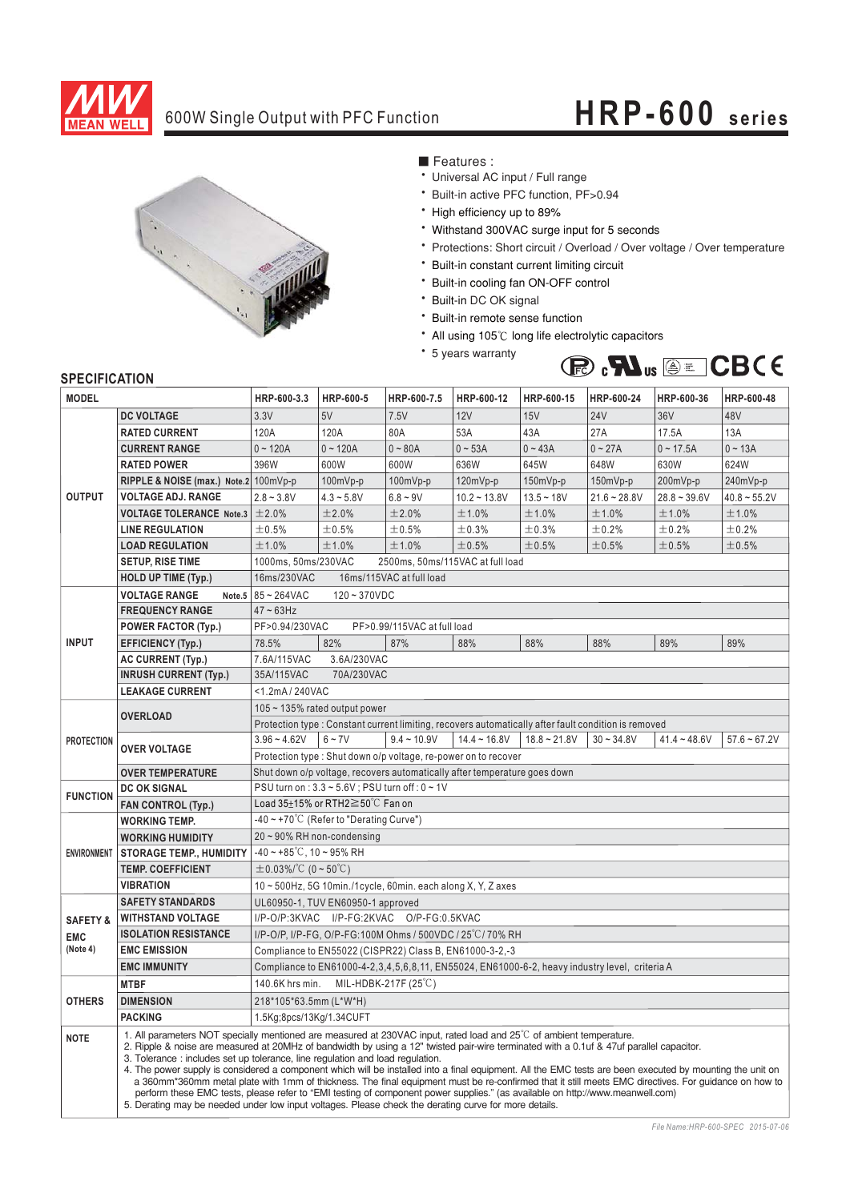

# 600W Single Output with PFC Function **HRP-600 series**



■ Features :

- Universal AC input / Full range
- \* Built-in active PFC function, PF>0.94
- \* High efficiency up to 89%
- \* Withstand 300VAC surge input for 5 seconds
- \* Protections: Short circuit / Overload / Over voltage / Over temperature
- \* Built-in constant current limiting circuit
- \* Built-in cooling fan ON-OFF control
- \* Built-in DC OK signal
- \* Built-in remote sense function
- All using 105°C long life electrolytic capacitors
- \* 5 years warranty



## **SPECIFICATION**

| <b>MODEL</b>           |                                                                                                                                                                                                                                                                                                                                                                                                                                                                                                                                                                                                                                                                                                                                                                                                                                                                                                                         | HRP-600-3.3                                                                                          | HRP-600-5    | HRP-600-7.5   | HRP-600-12     | HRP-600-15     | HRP-600-24     | HRP-600-36     | HRP-600-48     |
|------------------------|-------------------------------------------------------------------------------------------------------------------------------------------------------------------------------------------------------------------------------------------------------------------------------------------------------------------------------------------------------------------------------------------------------------------------------------------------------------------------------------------------------------------------------------------------------------------------------------------------------------------------------------------------------------------------------------------------------------------------------------------------------------------------------------------------------------------------------------------------------------------------------------------------------------------------|------------------------------------------------------------------------------------------------------|--------------|---------------|----------------|----------------|----------------|----------------|----------------|
|                        | <b>DC VOLTAGE</b>                                                                                                                                                                                                                                                                                                                                                                                                                                                                                                                                                                                                                                                                                                                                                                                                                                                                                                       | 3.3V                                                                                                 | 5V           | 7.5V          | 12V            | 15V            | 24V            | 36V            | 48V            |
| <b>OUTPUT</b>          | <b>RATED CURRENT</b>                                                                                                                                                                                                                                                                                                                                                                                                                                                                                                                                                                                                                                                                                                                                                                                                                                                                                                    | 120A                                                                                                 | 120A         | 80A           | 53A            | 43A            | 27A            | 17.5A          | 13A            |
|                        | <b>CURRENT RANGE</b>                                                                                                                                                                                                                                                                                                                                                                                                                                                                                                                                                                                                                                                                                                                                                                                                                                                                                                    | $0 - 120A$                                                                                           | $0 - 120A$   | $0 - 80A$     | $0 - 53A$      | $0 - 43A$      | $0 - 27A$      | $0 - 17.5A$    | $0 - 13A$      |
|                        | <b>RATED POWER</b>                                                                                                                                                                                                                                                                                                                                                                                                                                                                                                                                                                                                                                                                                                                                                                                                                                                                                                      | 396W                                                                                                 | 600W         | 600W          | 636W           | 645W           | 648W           | 630W           | 624W           |
|                        | RIPPLE & NOISE (max.) Note.2 100mVp-p                                                                                                                                                                                                                                                                                                                                                                                                                                                                                                                                                                                                                                                                                                                                                                                                                                                                                   |                                                                                                      | 100mVp-p     | $100mVp-p$    | 120mVp-p       | 150mVp-p       | 150mVp-p       | 200mVp-p       | 240mVp-p       |
|                        | <b>VOLTAGE ADJ. RANGE</b>                                                                                                                                                                                                                                                                                                                                                                                                                                                                                                                                                                                                                                                                                                                                                                                                                                                                                               | $2.8 - 3.8V$                                                                                         | $4.3 - 5.8V$ | $6.8 - 9V$    | $10.2 - 13.8V$ | $13.5 - 18V$   | $21.6 - 28.8V$ | $28.8 - 39.6V$ | $40.8 - 55.2V$ |
|                        | <b>VOLTAGE TOLERANCE Note.3</b>                                                                                                                                                                                                                                                                                                                                                                                                                                                                                                                                                                                                                                                                                                                                                                                                                                                                                         | ±2.0%                                                                                                | ±2.0%        | ±2.0%         | ±1.0%          | ±1.0%          | ±1.0%          | ±1.0%          | ±1.0%          |
|                        | <b>LINE REGULATION</b>                                                                                                                                                                                                                                                                                                                                                                                                                                                                                                                                                                                                                                                                                                                                                                                                                                                                                                  | ±0.5%                                                                                                | ±0.5%        | ±0.5%         | ±0.3%          | ±0.3%          | ±0.2%          | ±0.2%          | ±0.2%          |
|                        | <b>LOAD REGULATION</b>                                                                                                                                                                                                                                                                                                                                                                                                                                                                                                                                                                                                                                                                                                                                                                                                                                                                                                  | ±1.0%                                                                                                | ±1.0%        | ±1.0%         | ±0.5%          | ±0.5%          | ±0.5%          | ±0.5%          | ±0.5%          |
|                        | <b>SETUP, RISE TIME</b>                                                                                                                                                                                                                                                                                                                                                                                                                                                                                                                                                                                                                                                                                                                                                                                                                                                                                                 | 2500ms, 50ms/115VAC at full load<br>1000ms, 50ms/230VAC                                              |              |               |                |                |                |                |                |
|                        | <b>HOLD UP TIME (Typ.)</b>                                                                                                                                                                                                                                                                                                                                                                                                                                                                                                                                                                                                                                                                                                                                                                                                                                                                                              | 16ms/230VAC<br>16ms/115VAC at full load                                                              |              |               |                |                |                |                |                |
| <b>INPUT</b>           | <b>VOLTAGE RANGE</b><br>Note.5                                                                                                                                                                                                                                                                                                                                                                                                                                                                                                                                                                                                                                                                                                                                                                                                                                                                                          | 85~264VAC<br>$120 - 370VDC$                                                                          |              |               |                |                |                |                |                |
|                        | <b>FREQUENCY RANGE</b>                                                                                                                                                                                                                                                                                                                                                                                                                                                                                                                                                                                                                                                                                                                                                                                                                                                                                                  | $47 - 63$ Hz                                                                                         |              |               |                |                |                |                |                |
|                        | <b>POWER FACTOR (Typ.)</b>                                                                                                                                                                                                                                                                                                                                                                                                                                                                                                                                                                                                                                                                                                                                                                                                                                                                                              | PF>0.94/230VAC<br>PF>0.99/115VAC at full load                                                        |              |               |                |                |                |                |                |
|                        | <b>EFFICIENCY (Typ.)</b>                                                                                                                                                                                                                                                                                                                                                                                                                                                                                                                                                                                                                                                                                                                                                                                                                                                                                                | 78.5%                                                                                                | 82%          | 87%           | 88%            | 88%            | 88%            | 89%            | 89%            |
|                        | <b>AC CURRENT (Typ.)</b>                                                                                                                                                                                                                                                                                                                                                                                                                                                                                                                                                                                                                                                                                                                                                                                                                                                                                                | 7.6A/115VAC                                                                                          | 3.6A/230VAC  |               |                |                |                |                |                |
|                        | <b>INRUSH CURRENT (Typ.)</b>                                                                                                                                                                                                                                                                                                                                                                                                                                                                                                                                                                                                                                                                                                                                                                                                                                                                                            | 70A/230VAC<br>35A/115VAC                                                                             |              |               |                |                |                |                |                |
|                        | <b>LEAKAGE CURRENT</b>                                                                                                                                                                                                                                                                                                                                                                                                                                                                                                                                                                                                                                                                                                                                                                                                                                                                                                  | <1.2mA/240VAC                                                                                        |              |               |                |                |                |                |                |
| <b>PROTECTION</b>      | <b>OVERLOAD</b>                                                                                                                                                                                                                                                                                                                                                                                                                                                                                                                                                                                                                                                                                                                                                                                                                                                                                                         | $105 \sim 135\%$ rated output power                                                                  |              |               |                |                |                |                |                |
|                        |                                                                                                                                                                                                                                                                                                                                                                                                                                                                                                                                                                                                                                                                                                                                                                                                                                                                                                                         | Protection type : Constant current limiting, recovers automatically after fault condition is removed |              |               |                |                |                |                |                |
|                        | <b>OVER VOLTAGE</b>                                                                                                                                                                                                                                                                                                                                                                                                                                                                                                                                                                                                                                                                                                                                                                                                                                                                                                     | $3.96 - 4.62V$                                                                                       | $6 - 7V$     | $9.4 - 10.9V$ | $14.4 - 16.8V$ | $18.8 - 21.8V$ | $30 - 34.8V$   | $41.4 - 48.6V$ | $57.6 - 67.2V$ |
|                        |                                                                                                                                                                                                                                                                                                                                                                                                                                                                                                                                                                                                                                                                                                                                                                                                                                                                                                                         | Protection type: Shut down o/p voltage, re-power on to recover                                       |              |               |                |                |                |                |                |
|                        | <b>OVER TEMPERATURE</b>                                                                                                                                                                                                                                                                                                                                                                                                                                                                                                                                                                                                                                                                                                                                                                                                                                                                                                 | Shut down o/p voltage, recovers automatically after temperature goes down                            |              |               |                |                |                |                |                |
| <b>FUNCTION</b>        | <b>DC OK SIGNAL</b>                                                                                                                                                                                                                                                                                                                                                                                                                                                                                                                                                                                                                                                                                                                                                                                                                                                                                                     | PSU turn on : 3.3 ~ 5.6V ; PSU turn off : 0 ~ 1V                                                     |              |               |                |                |                |                |                |
|                        | <b>FAN CONTROL (Typ.)</b>                                                                                                                                                                                                                                                                                                                                                                                                                                                                                                                                                                                                                                                                                                                                                                                                                                                                                               | Load $35\pm15\%$ or RTH2 $\geq$ 50°C Fan on                                                          |              |               |                |                |                |                |                |
| <b>ENVIRONMENT</b>     | <b>WORKING TEMP.</b>                                                                                                                                                                                                                                                                                                                                                                                                                                                                                                                                                                                                                                                                                                                                                                                                                                                                                                    | -40 ~ +70 $\degree$ C (Refer to "Derating Curve")                                                    |              |               |                |                |                |                |                |
|                        | <b>WORKING HUMIDITY</b>                                                                                                                                                                                                                                                                                                                                                                                                                                                                                                                                                                                                                                                                                                                                                                                                                                                                                                 | 20~90% RH non-condensing                                                                             |              |               |                |                |                |                |                |
|                        | <b>STORAGE TEMP., HUMIDITY</b>                                                                                                                                                                                                                                                                                                                                                                                                                                                                                                                                                                                                                                                                                                                                                                                                                                                                                          | $-40 \sim +85^{\circ}$ C, 10 ~ 95% RH                                                                |              |               |                |                |                |                |                |
|                        | <b>TEMP. COEFFICIENT</b>                                                                                                                                                                                                                                                                                                                                                                                                                                                                                                                                                                                                                                                                                                                                                                                                                                                                                                | $\pm$ 0.03%/°C (0~50°C)                                                                              |              |               |                |                |                |                |                |
|                        | <b>VIBRATION</b>                                                                                                                                                                                                                                                                                                                                                                                                                                                                                                                                                                                                                                                                                                                                                                                                                                                                                                        | $10 \sim 500$ Hz, 5G 10min./1cycle, 60min. each along X, Y, Z axes                                   |              |               |                |                |                |                |                |
|                        | <b>SAFETY STANDARDS</b><br>UL60950-1, TUV EN60950-1 approved                                                                                                                                                                                                                                                                                                                                                                                                                                                                                                                                                                                                                                                                                                                                                                                                                                                            |                                                                                                      |              |               |                |                |                |                |                |
| <b>SAFETY &amp;</b>    | <b>WITHSTAND VOLTAGE</b>                                                                                                                                                                                                                                                                                                                                                                                                                                                                                                                                                                                                                                                                                                                                                                                                                                                                                                | I/P-O/P:3KVAC I/P-FG:2KVAC O/P-FG:0.5KVAC                                                            |              |               |                |                |                |                |                |
| <b>EMC</b><br>(Note 4) | <b>ISOLATION RESISTANCE</b>                                                                                                                                                                                                                                                                                                                                                                                                                                                                                                                                                                                                                                                                                                                                                                                                                                                                                             | I/P-O/P, I/P-FG, O/P-FG:100M Ohms / 500VDC / 25°C/70% RH                                             |              |               |                |                |                |                |                |
|                        | <b>EMC EMISSION</b>                                                                                                                                                                                                                                                                                                                                                                                                                                                                                                                                                                                                                                                                                                                                                                                                                                                                                                     | Compliance to EN55022 (CISPR22) Class B, EN61000-3-2,-3                                              |              |               |                |                |                |                |                |
|                        | <b>EMC IMMUNITY</b>                                                                                                                                                                                                                                                                                                                                                                                                                                                                                                                                                                                                                                                                                                                                                                                                                                                                                                     | Compliance to EN61000-4-2, 3, 4, 5, 6, 8, 11, EN55024, EN61000-6-2, heavy industry level, criteria A |              |               |                |                |                |                |                |
| <b>OTHERS</b>          | <b>MTBF</b>                                                                                                                                                                                                                                                                                                                                                                                                                                                                                                                                                                                                                                                                                                                                                                                                                                                                                                             | 140.6K hrs min.<br>MIL-HDBK-217F (25°C)                                                              |              |               |                |                |                |                |                |
|                        | <b>DIMENSION</b>                                                                                                                                                                                                                                                                                                                                                                                                                                                                                                                                                                                                                                                                                                                                                                                                                                                                                                        | 218*105*63.5mm (L*W*H)                                                                               |              |               |                |                |                |                |                |
|                        | <b>PACKING</b>                                                                                                                                                                                                                                                                                                                                                                                                                                                                                                                                                                                                                                                                                                                                                                                                                                                                                                          | 1.5Kg;8pcs/13Kg/1.34CUFT                                                                             |              |               |                |                |                |                |                |
| <b>NOTE</b>            | 1. All parameters NOT specially mentioned are measured at 230VAC input, rated load and $25^{\circ}$ of ambient temperature.<br>2. Ripple & noise are measured at 20MHz of bandwidth by using a 12" twisted pair-wire terminated with a 0.1uf & 47uf parallel capacitor.<br>3. Tolerance: includes set up tolerance, line regulation and load regulation.<br>4. The power supply is considered a component which will be installed into a final equipment. All the EMC tests are been executed by mounting the unit on<br>a 360mm*360mm metal plate with 1mm of thickness. The final equipment must be re-confirmed that it still meets EMC directives. For guidance on how to<br>perform these EMC tests, please refer to "EMI testing of component power supplies." (as available on http://www.meanwell.com)<br>5. Derating may be needed under low input voltages. Please check the derating curve for more details. |                                                                                                      |              |               |                |                |                |                |                |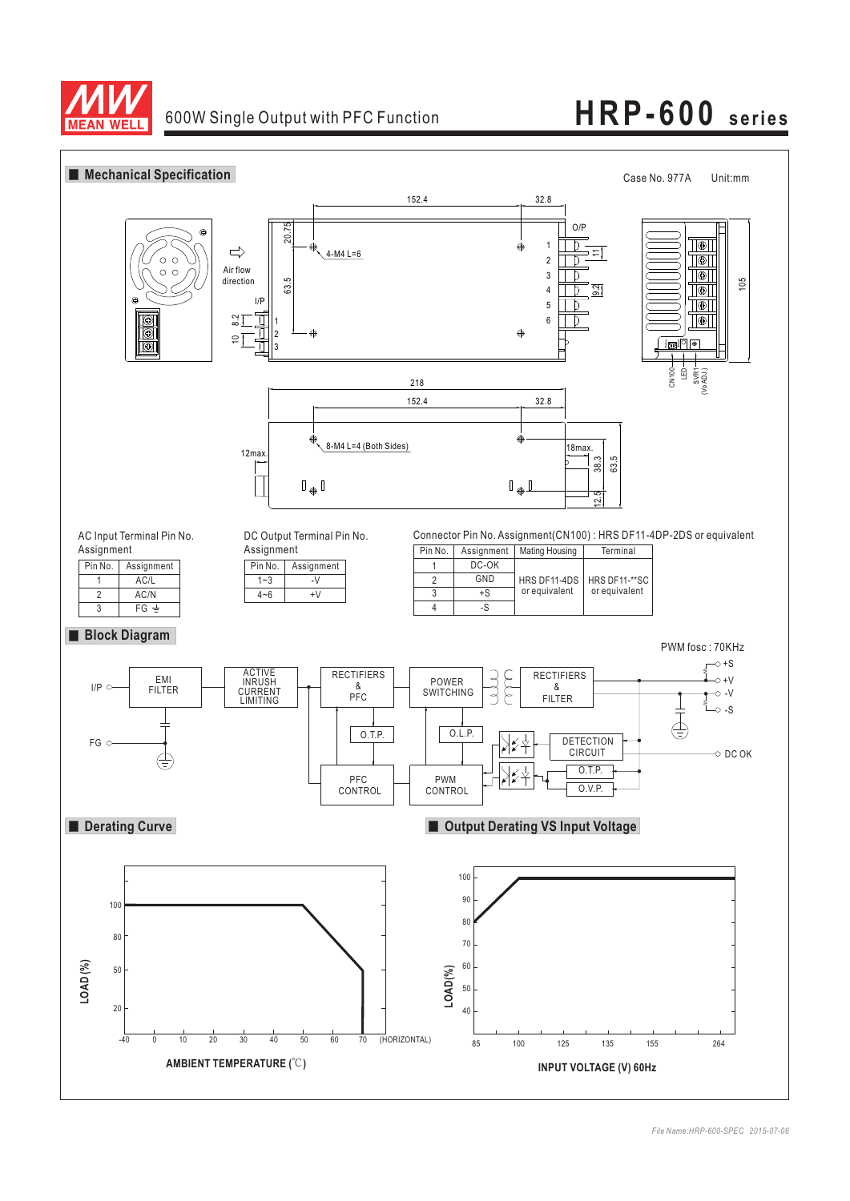